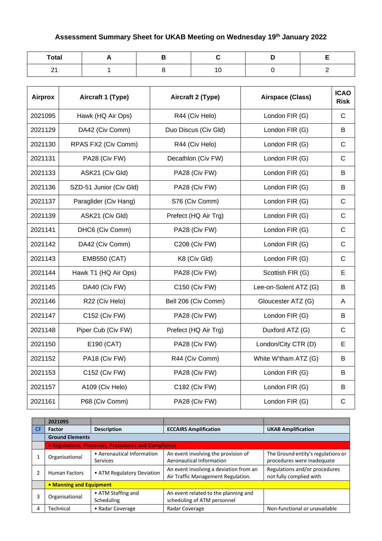## **Assessment Summary Sheet for UKAB Meeting on Wednesday 19th January 2022**

| <b>Total</b> |  |  |  |
|--------------|--|--|--|
| ົ<br>- -     |  |  |  |

| <b>Airprox</b> | Aircraft 1 (Type)       | Aircraft 2 (Type)    | Airspace (Class)      | <b>ICAO</b><br><b>Risk</b> |
|----------------|-------------------------|----------------------|-----------------------|----------------------------|
| 2021095        | Hawk (HQ Air Ops)       | R44 (Civ Helo)       | London FIR (G)        | $\mathsf{C}$               |
| 2021129        | DA42 (Civ Comm)         | Duo Discus (Civ Gld) | London FIR (G)        | B                          |
| 2021130        | RPAS FX2 (Civ Comm)     | R44 (Civ Helo)       | London FIR (G)        | $\mathsf C$                |
| 2021131        | PA28 (Civ FW)           | Decathlon (Civ FW)   | London FIR (G)        | $\mathsf{C}$               |
| 2021133        | ASK21 (Civ Gld)         | PA28 (Civ FW)        | London FIR (G)        | B                          |
| 2021136        | SZD-51 Junior (Civ Gld) | PA28 (Civ FW)        | London FIR (G)        | B                          |
| 2021137        | Paraglider (Civ Hang)   | S76 (Civ Comm)       | London FIR (G)        | $\mathsf{C}$               |
| 2021139        | ASK21 (Civ Gld)         | Prefect (HQ Air Trg) | London FIR (G)        | $\mathsf C$                |
| 2021141        | DHC6 (Civ Comm)         | PA28 (Civ FW)        | London FIR (G)        | $\mathsf C$                |
| 2021142        | DA42 (Civ Comm)         | <b>C208 (Civ FW)</b> | London FIR (G)        | $\mathsf C$                |
| 2021143        | <b>EMB550 (CAT)</b>     | K8 (Civ Gld)         | London FIR (G)        | $\mathsf{C}$               |
| 2021144        | Hawk T1 (HQ Air Ops)    | PA28 (Civ FW)        | Scottish FIR (G)      | E                          |
| 2021145        | DA40 (Civ FW)           | C150 (Civ FW)        | Lee-on-Solent ATZ (G) | B                          |
| 2021146        | R22 (Civ Helo)          | Bell 206 (Civ Comm)  | Gloucester ATZ (G)    | $\overline{A}$             |
| 2021147        | C152 (Civ FW)           | PA28 (Civ FW)        | London FIR (G)        | B                          |
| 2021148        | Piper Cub (Civ FW)      | Prefect (HQ Air Trg) | Duxford ATZ (G)       | $\mathsf{C}$               |
| 2021150        | E190 (CAT)              | PA28 (Civ FW)        | London/City CTR (D)   | E                          |
| 2021152        | PA18 (Civ FW)           | R44 (Civ Comm)       | White W'tham ATZ (G)  | B                          |
| 2021153        | C152 (Civ FW)           | PA28 (Civ FW)        | London FIR (G)        | B                          |
| 2021157        | A109 (Civ Helo)         | C182 (Civ FW)        | London FIR (G)        | B                          |
| 2021161        | P68 (Civ Comm)          | PA28 (Civ FW)        | London FIR (G)        | $\mathsf{C}$               |

|    | 2021095                 |                                                     |                                                                              |                                                                  |
|----|-------------------------|-----------------------------------------------------|------------------------------------------------------------------------------|------------------------------------------------------------------|
| CF | Factor                  | <b>Description</b>                                  | <b>ECCAIRS Amplification</b>                                                 | <b>UKAB Amplification</b>                                        |
|    | <b>Ground Elements</b>  |                                                     |                                                                              |                                                                  |
|    |                         | • Regulations, Processes, Procedures and Compliance |                                                                              |                                                                  |
|    | Organisational          | • Aeronautical Information<br>Services              | An event involving the provision of<br>Aeronautical Information              | The Ground entity's regulations or<br>procedures were inadequate |
|    | <b>Human Factors</b>    | • ATM Regulatory Deviation                          | An event involving a deviation from an<br>Air Traffic Management Regulation. | Regulations and/or procedures<br>not fully complied with         |
|    | • Manning and Equipment |                                                     |                                                                              |                                                                  |
| 3  | Organisational          | • ATM Staffing and<br>Scheduling                    | An event related to the planning and<br>scheduling of ATM personnel          |                                                                  |
| 4  | Technical               | • Radar Coverage                                    | Radar Coverage                                                               | Non-functional or unavailable                                    |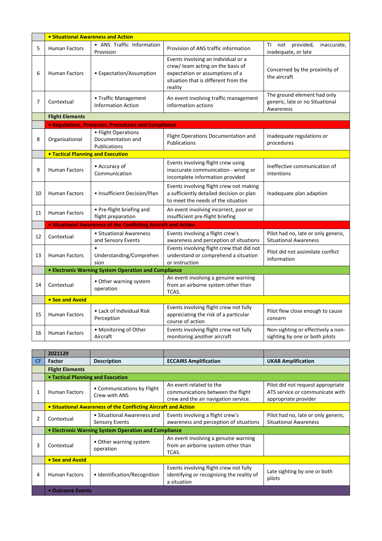|    | • Situational Awareness and Action       |                                                                       |                                                                                                                                                                |                                                                             |
|----|------------------------------------------|-----------------------------------------------------------------------|----------------------------------------------------------------------------------------------------------------------------------------------------------------|-----------------------------------------------------------------------------|
| 5  | <b>Human Factors</b>                     | • ANS Traffic Information<br>Provision                                | Provision of ANS traffic information                                                                                                                           | not provided,<br>ΤI<br>inaccurate,<br>inadequate, or late                   |
| 6  | <b>Human Factors</b>                     | • Expectation/Assumption                                              | Events involving an individual or a<br>crew/ team acting on the basis of<br>expectation or assumptions of a<br>situation that is different from the<br>reality | Concerned by the proximity of<br>the aircraft                               |
| 7  | Contextual                               | • Traffic Management<br><b>Information Action</b>                     | An event involving traffic management<br>information actions                                                                                                   | The ground element had only<br>generic, late or no Situational<br>Awareness |
|    | <b>Flight Elements</b>                   |                                                                       |                                                                                                                                                                |                                                                             |
|    |                                          | • Regulations, Processes, Procedures and Compliance                   |                                                                                                                                                                |                                                                             |
| 8  | Organisational                           | • Flight Operations<br>Documentation and<br>Publications              | Flight Operations Documentation and<br>Publications                                                                                                            | Inadequate regulations or<br>procedures                                     |
|    | <b>. Tactical Planning and Execution</b> |                                                                       |                                                                                                                                                                |                                                                             |
| 9  | <b>Human Factors</b>                     | • Accuracy of<br>Communication                                        | Events involving flight crew using<br>inaccurate communication - wrong or<br>incomplete information provided                                                   | Ineffective communication of<br>intentions                                  |
| 10 | <b>Human Factors</b>                     | • Insufficient Decision/Plan                                          | Events involving flight crew not making<br>a sufficiently detailed decision or plan<br>to meet the needs of the situation                                      | Inadequate plan adaption                                                    |
| 11 | <b>Human Factors</b>                     | • Pre-flight briefing and<br>flight preparation                       | An event involving incorrect, poor or<br>insufficient pre-flight briefing                                                                                      |                                                                             |
|    |                                          | <b>.</b> Situational Awareness of the Conflicting Aircraft and Action |                                                                                                                                                                |                                                                             |
| 12 | Contextual                               | · Situational Awareness<br>and Sensory Events                         | Events involving a flight crew's<br>awareness and perception of situations                                                                                     | Pilot had no, late or only generic,<br><b>Situational Awareness</b>         |
| 13 | <b>Human Factors</b>                     | Understanding/Comprehen<br>sion                                       | Events involving flight crew that did not<br>understand or comprehend a situation<br>or instruction                                                            | Pilot did not assimilate conflict<br>information                            |
|    |                                          | • Electronic Warning System Operation and Compliance                  |                                                                                                                                                                |                                                                             |
| 14 | Contextual                               | • Other warning system<br>operation                                   | An event involving a genuine warning<br>from an airborne system other than<br>TCAS.                                                                            |                                                                             |
|    | • See and Avoid                          |                                                                       |                                                                                                                                                                |                                                                             |
| 15 | Human Factors                            | • Lack of Individual Risk<br>Perception                               | Events involving flight crew not fully<br>appreciating the risk of a particular<br>course of action                                                            | Pilot flew close enough to cause<br>concern                                 |
| 16 | <b>Human Factors</b>                     | • Monitoring of Other<br>Aircraft                                     | Events involving flight crew not fully<br>monitoring another aircraft                                                                                          | Non-sighting or effectively a non-<br>sighting by one or both pilots        |

|     | 2021129                                                        |                                                      |                                                                                                      |                                                                                              |
|-----|----------------------------------------------------------------|------------------------------------------------------|------------------------------------------------------------------------------------------------------|----------------------------------------------------------------------------------------------|
| CF. | <b>Factor</b>                                                  | <b>Description</b>                                   | <b>ECCAIRS Amplification</b>                                                                         | <b>UKAB Amplification</b>                                                                    |
|     | <b>Flight Elements</b>                                         |                                                      |                                                                                                      |                                                                                              |
|     | • Tactical Planning and Execution                              |                                                      |                                                                                                      |                                                                                              |
| 1   | <b>Human Factors</b>                                           | • Communications by Flight<br>Crew with ANS          | An event related to the<br>communications between the flight<br>crew and the air navigation service. | Pilot did not request appropriate<br>ATS service or communicate with<br>appropriate provider |
|     | • Situational Awareness of the Conflicting Aircraft and Action |                                                      |                                                                                                      |                                                                                              |
| 2   | Contextual                                                     | • Situational Awareness and<br><b>Sensory Events</b> | Events involving a flight crew's<br>awareness and perception of situations                           | Pilot had no, late or only generic,<br><b>Situational Awareness</b>                          |
|     |                                                                | • Electronic Warning System Operation and Compliance |                                                                                                      |                                                                                              |
| 3   | Contextual                                                     | • Other warning system<br>operation                  | An event involving a genuine warning<br>from an airborne system other than<br>TCAS.                  |                                                                                              |
|     | • See and Avoid                                                |                                                      |                                                                                                      |                                                                                              |
| 4   | <b>Human Factors</b>                                           | • Identification/Recognition                         | Events involving flight crew not fully<br>identifying or recognising the reality of<br>a situation   | Late sighting by one or both<br>pilots                                                       |
|     | • Outcome Events                                               |                                                      |                                                                                                      |                                                                                              |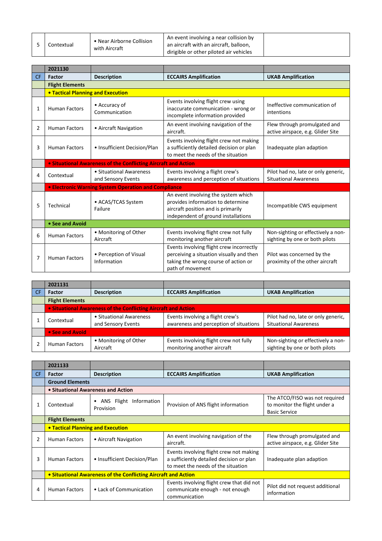|  | Contextual | • Near Airborne Collision<br>with Aircraft | An event involving a near collision by<br>an aircraft with an aircraft, balloon,<br>dirigible or other piloted air vehicles |  |
|--|------------|--------------------------------------------|-----------------------------------------------------------------------------------------------------------------------------|--|
|--|------------|--------------------------------------------|-----------------------------------------------------------------------------------------------------------------------------|--|

|                | 2021130                                  |                                                                       |                                                                                                                                                       |                                                                      |  |  |
|----------------|------------------------------------------|-----------------------------------------------------------------------|-------------------------------------------------------------------------------------------------------------------------------------------------------|----------------------------------------------------------------------|--|--|
| <b>CF</b>      | <b>Factor</b>                            | <b>Description</b>                                                    | <b>ECCAIRS Amplification</b>                                                                                                                          | <b>UKAB Amplification</b>                                            |  |  |
|                | <b>Flight Elements</b>                   |                                                                       |                                                                                                                                                       |                                                                      |  |  |
|                | <b>. Tactical Planning and Execution</b> |                                                                       |                                                                                                                                                       |                                                                      |  |  |
| 1              | <b>Human Factors</b>                     | • Accuracy of<br>Communication                                        | Events involving flight crew using<br>inaccurate communication - wrong or<br>incomplete information provided                                          | Ineffective communication of<br>intentions                           |  |  |
| $\overline{2}$ | <b>Human Factors</b>                     | • Aircraft Navigation                                                 | An event involving navigation of the<br>aircraft.                                                                                                     | Flew through promulgated and<br>active airspace, e.g. Glider Site    |  |  |
| 3              | <b>Human Factors</b>                     | • Insufficient Decision/Plan                                          | Events involving flight crew not making<br>a sufficiently detailed decision or plan<br>to meet the needs of the situation                             | Inadequate plan adaption                                             |  |  |
|                |                                          | <b>.</b> Situational Awareness of the Conflicting Aircraft and Action |                                                                                                                                                       |                                                                      |  |  |
| 4              | Contextual                               | • Situational Awareness<br>and Sensory Events                         | Events involving a flight crew's<br>awareness and perception of situations                                                                            | Pilot had no, late or only generic,<br><b>Situational Awareness</b>  |  |  |
|                |                                          | <b>• Electronic Warning System Operation and Compliance</b>           |                                                                                                                                                       |                                                                      |  |  |
| 5              | Technical                                | • ACAS/TCAS System<br>Failure                                         | An event involving the system which<br>provides information to determine<br>aircraft position and is primarily<br>independent of ground installations | Incompatible CWS equipment                                           |  |  |
|                | • See and Avoid                          |                                                                       |                                                                                                                                                       |                                                                      |  |  |
| 6              | <b>Human Factors</b>                     | • Monitoring of Other<br>Aircraft                                     | Events involving flight crew not fully<br>monitoring another aircraft                                                                                 | Non-sighting or effectively a non-<br>sighting by one or both pilots |  |  |
| 7              | <b>Human Factors</b>                     | • Perception of Visual<br>Information                                 | Events involving flight crew incorrectly<br>perceiving a situation visually and then<br>taking the wrong course of action or<br>path of movement      | Pilot was concerned by the<br>proximity of the other aircraft        |  |  |

|     | 2021131                                                        |                                               |                                                                            |                                                                      |
|-----|----------------------------------------------------------------|-----------------------------------------------|----------------------------------------------------------------------------|----------------------------------------------------------------------|
| -CF | <b>Factor</b>                                                  | <b>Description</b>                            | <b>ECCAIRS Amplification</b>                                               | <b>UKAB Amplification</b>                                            |
|     | <b>Flight Elements</b>                                         |                                               |                                                                            |                                                                      |
|     | • Situational Awareness of the Conflicting Aircraft and Action |                                               |                                                                            |                                                                      |
|     | Contextual                                                     | • Situational Awareness<br>and Sensory Events | Events involving a flight crew's<br>awareness and perception of situations | Pilot had no, late or only generic,<br><b>Situational Awareness</b>  |
|     | • See and Avoid                                                |                                               |                                                                            |                                                                      |
|     | <b>Human Factors</b>                                           | • Monitoring of Other<br>Aircraft             | Events involving flight crew not fully<br>monitoring another aircraft      | Non-sighting or effectively a non-<br>sighting by one or both pilots |

|     | 2021133                                                        |                                     |                                                                                                                           |                                                                                         |
|-----|----------------------------------------------------------------|-------------------------------------|---------------------------------------------------------------------------------------------------------------------------|-----------------------------------------------------------------------------------------|
| CF. | <b>Factor</b>                                                  | <b>Description</b>                  | <b>ECCAIRS Amplification</b>                                                                                              | <b>UKAB Amplification</b>                                                               |
|     | <b>Ground Elements</b>                                         |                                     |                                                                                                                           |                                                                                         |
|     |                                                                | • Situational Awareness and Action  |                                                                                                                           |                                                                                         |
| 1   | Contextual                                                     | ANS Flight Information<br>Provision | Provision of ANS flight information                                                                                       | The ATCO/FISO was not required<br>to monitor the flight under a<br><b>Basic Service</b> |
|     | <b>Flight Elements</b>                                         |                                     |                                                                                                                           |                                                                                         |
|     | • Tactical Planning and Execution                              |                                     |                                                                                                                           |                                                                                         |
| 2   | <b>Human Factors</b>                                           | • Aircraft Navigation               | An event involving navigation of the<br>aircraft.                                                                         | Flew through promulgated and<br>active airspace, e.g. Glider Site                       |
| 3   | <b>Human Factors</b>                                           | • Insufficient Decision/Plan        | Events involving flight crew not making<br>a sufficiently detailed decision or plan<br>to meet the needs of the situation | Inadequate plan adaption                                                                |
|     | • Situational Awareness of the Conflicting Aircraft and Action |                                     |                                                                                                                           |                                                                                         |
| 4   | <b>Human Factors</b>                                           | • Lack of Communication             | Events involving flight crew that did not<br>communicate enough - not enough<br>communication                             | Pilot did not request additional<br>information                                         |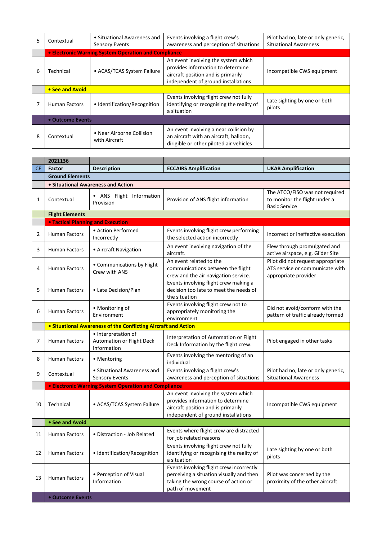| 5 | Contextual                                           | • Situational Awareness and<br><b>Sensory Events</b> | Events involving a flight crew's<br>awareness and perception of situations                                                                            | Pilot had no, late or only generic,<br><b>Situational Awareness</b> |  |
|---|------------------------------------------------------|------------------------------------------------------|-------------------------------------------------------------------------------------------------------------------------------------------------------|---------------------------------------------------------------------|--|
|   | • Electronic Warning System Operation and Compliance |                                                      |                                                                                                                                                       |                                                                     |  |
| 6 | Technical                                            | • ACAS/TCAS System Failure                           | An event involving the system which<br>provides information to determine<br>aircraft position and is primarily<br>independent of ground installations | Incompatible CWS equipment                                          |  |
|   | • See and Avoid                                      |                                                      |                                                                                                                                                       |                                                                     |  |
|   | <b>Human Factors</b>                                 | • Identification/Recognition                         | Events involving flight crew not fully<br>identifying or recognising the reality of<br>a situation                                                    | Late sighting by one or both<br>pilots                              |  |
|   | • Outcome Events                                     |                                                      |                                                                                                                                                       |                                                                     |  |
| 8 | Contextual                                           | • Near Airborne Collision<br>with Aircraft           | An event involving a near collision by<br>an aircraft with an aircraft, balloon,<br>dirigible or other piloted air vehicles                           |                                                                     |  |

|           | 2021136                                  |                                                                 |                                                                                                                                                       |                                                                                              |
|-----------|------------------------------------------|-----------------------------------------------------------------|-------------------------------------------------------------------------------------------------------------------------------------------------------|----------------------------------------------------------------------------------------------|
| <b>CF</b> | <b>Factor</b>                            | <b>Description</b>                                              | <b>ECCAIRS Amplification</b>                                                                                                                          | <b>UKAB Amplification</b>                                                                    |
|           | <b>Ground Elements</b>                   |                                                                 |                                                                                                                                                       |                                                                                              |
|           |                                          | • Situational Awareness and Action                              |                                                                                                                                                       |                                                                                              |
| 1         | Contextual                               | • ANS Flight Information<br>Provision                           | Provision of ANS flight information                                                                                                                   | The ATCO/FISO was not required<br>to monitor the flight under a<br><b>Basic Service</b>      |
|           | <b>Flight Elements</b>                   |                                                                 |                                                                                                                                                       |                                                                                              |
|           | <b>. Tactical Planning and Execution</b> |                                                                 |                                                                                                                                                       |                                                                                              |
| 2         | Human Factors                            | • Action Performed<br>Incorrectly                               | Events involving flight crew performing<br>the selected action incorrectly                                                                            | Incorrect or ineffective execution                                                           |
| 3         | <b>Human Factors</b>                     | • Aircraft Navigation                                           | An event involving navigation of the<br>aircraft.                                                                                                     | Flew through promulgated and<br>active airspace, e.g. Glider Site                            |
| 4         | <b>Human Factors</b>                     | • Communications by Flight<br>Crew with ANS                     | An event related to the<br>communications between the flight<br>crew and the air navigation service.                                                  | Pilot did not request appropriate<br>ATS service or communicate with<br>appropriate provider |
| 5         | <b>Human Factors</b>                     | • Late Decision/Plan                                            | Events involving flight crew making a<br>decision too late to meet the needs of<br>the situation                                                      |                                                                                              |
| 6         | <b>Human Factors</b>                     | • Monitoring of<br>Environment                                  | Events involving flight crew not to<br>appropriately monitoring the<br>environment                                                                    | Did not avoid/conform with the<br>pattern of traffic already formed                          |
|           |                                          | • Situational Awareness of the Conflicting Aircraft and Action  |                                                                                                                                                       |                                                                                              |
| 7         | <b>Human Factors</b>                     | · Interpretation of<br>Automation or Flight Deck<br>Information | Interpretation of Automation or Flight<br>Deck Information by the flight crew.                                                                        | Pilot engaged in other tasks                                                                 |
| 8         | Human Factors                            | • Mentoring                                                     | Events involving the mentoring of an<br>individual                                                                                                    |                                                                                              |
| 9         | Contextual                               | • Situational Awareness and<br><b>Sensory Events</b>            | Events involving a flight crew's<br>awareness and perception of situations                                                                            | Pilot had no, late or only generic,<br><b>Situational Awareness</b>                          |
|           |                                          | <b>• Electronic Warning System Operation and Compliance</b>     |                                                                                                                                                       |                                                                                              |
| 10        | Technical                                | • ACAS/TCAS System Failure                                      | An event involving the system which<br>provides information to determine<br>aircraft position and is primarily<br>independent of ground installations | Incompatible CWS equipment                                                                   |
|           | • See and Avoid                          |                                                                 |                                                                                                                                                       |                                                                                              |
| 11        | <b>Human Factors</b>                     | • Distraction - Job Related                                     | Events where flight crew are distracted<br>for job related reasons                                                                                    |                                                                                              |
| 12        | Human Factors                            | · Identification/Recognition                                    | Events involving flight crew not fully<br>identifying or recognising the reality of<br>a situation                                                    | Late sighting by one or both<br>pilots                                                       |
| 13        | Human Factors                            | • Perception of Visual<br>Information                           | Events involving flight crew incorrectly<br>perceiving a situation visually and then<br>taking the wrong course of action or<br>path of movement      | Pilot was concerned by the<br>proximity of the other aircraft                                |
|           | • Outcome Events                         |                                                                 |                                                                                                                                                       |                                                                                              |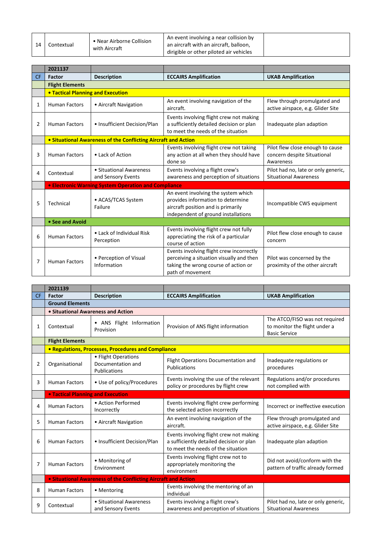| 14 | Contextual | • Near Airborne Collision<br>with Aircraft | An event involving a near collision by<br>an aircraft with an aircraft, balloon,<br>dirigible or other piloted air vehicles |  |
|----|------------|--------------------------------------------|-----------------------------------------------------------------------------------------------------------------------------|--|
|----|------------|--------------------------------------------|-----------------------------------------------------------------------------------------------------------------------------|--|

|                | 2021137                                  |                                                                |                                                                                                                                                       |                                                                              |  |
|----------------|------------------------------------------|----------------------------------------------------------------|-------------------------------------------------------------------------------------------------------------------------------------------------------|------------------------------------------------------------------------------|--|
| <b>CF</b>      | <b>Factor</b>                            | <b>Description</b>                                             | <b>ECCAIRS Amplification</b>                                                                                                                          | <b>UKAB Amplification</b>                                                    |  |
|                | <b>Flight Elements</b>                   |                                                                |                                                                                                                                                       |                                                                              |  |
|                | <b>• Tactical Planning and Execution</b> |                                                                |                                                                                                                                                       |                                                                              |  |
| 1              | <b>Human Factors</b>                     | • Aircraft Navigation                                          | An event involving navigation of the<br>aircraft.                                                                                                     | Flew through promulgated and<br>active airspace, e.g. Glider Site            |  |
| $\overline{2}$ | <b>Human Factors</b>                     | • Insufficient Decision/Plan                                   | Events involving flight crew not making<br>a sufficiently detailed decision or plan<br>to meet the needs of the situation                             | Inadequate plan adaption                                                     |  |
|                |                                          | • Situational Awareness of the Conflicting Aircraft and Action |                                                                                                                                                       |                                                                              |  |
| 3              | <b>Human Factors</b>                     | • Lack of Action                                               | Events involving flight crew not taking<br>any action at all when they should have<br>done so                                                         | Pilot flew close enough to cause<br>concern despite Situational<br>Awareness |  |
| 4              | Contextual                               | • Situational Awareness<br>and Sensory Events                  | Events involving a flight crew's<br>awareness and perception of situations                                                                            | Pilot had no, late or only generic,<br><b>Situational Awareness</b>          |  |
|                |                                          | <b>• Electronic Warning System Operation and Compliance</b>    |                                                                                                                                                       |                                                                              |  |
| 5              | Technical                                | • ACAS/TCAS System<br>Failure                                  | An event involving the system which<br>provides information to determine<br>aircraft position and is primarily<br>independent of ground installations | Incompatible CWS equipment                                                   |  |
|                | • See and Avoid                          |                                                                |                                                                                                                                                       |                                                                              |  |
| 6              | <b>Human Factors</b>                     | • Lack of Individual Risk<br>Perception                        | Events involving flight crew not fully<br>appreciating the risk of a particular<br>course of action                                                   | Pilot flew close enough to cause<br>concern                                  |  |
| 7              | <b>Human Factors</b>                     | • Perception of Visual<br>Information                          | Events involving flight crew incorrectly<br>perceiving a situation visually and then<br>taking the wrong course of action or<br>path of movement      | Pilot was concerned by the<br>proximity of the other aircraft                |  |

|                | 2021139                                  |                                                                |                                                                                                                           |                                                                                         |  |
|----------------|------------------------------------------|----------------------------------------------------------------|---------------------------------------------------------------------------------------------------------------------------|-----------------------------------------------------------------------------------------|--|
| <b>CF</b>      | Factor                                   | <b>Description</b>                                             | <b>ECCAIRS Amplification</b>                                                                                              | <b>UKAB Amplification</b>                                                               |  |
|                | <b>Ground Elements</b>                   |                                                                |                                                                                                                           |                                                                                         |  |
|                | • Situational Awareness and Action       |                                                                |                                                                                                                           |                                                                                         |  |
| 1              | Contextual                               | • ANS Flight Information<br>Provision                          | Provision of ANS flight information                                                                                       | The ATCO/FISO was not required<br>to monitor the flight under a<br><b>Basic Service</b> |  |
|                | <b>Flight Elements</b>                   |                                                                |                                                                                                                           |                                                                                         |  |
|                |                                          | • Regulations, Processes, Procedures and Compliance            |                                                                                                                           |                                                                                         |  |
| $\overline{2}$ | Organisational                           | • Flight Operations<br>Documentation and<br>Publications       | Flight Operations Documentation and<br>Publications                                                                       | Inadequate regulations or<br>procedures                                                 |  |
| 3              | <b>Human Factors</b>                     | • Use of policy/Procedures                                     | Events involving the use of the relevant<br>policy or procedures by flight crew                                           | Regulations and/or procedures<br>not complied with                                      |  |
|                | <b>• Tactical Planning and Execution</b> |                                                                |                                                                                                                           |                                                                                         |  |
| 4              | <b>Human Factors</b>                     | • Action Performed<br>Incorrectly                              | Events involving flight crew performing<br>the selected action incorrectly                                                | Incorrect or ineffective execution                                                      |  |
| 5              | <b>Human Factors</b>                     | • Aircraft Navigation                                          | An event involving navigation of the<br>aircraft.                                                                         | Flew through promulgated and<br>active airspace, e.g. Glider Site                       |  |
| 6              | <b>Human Factors</b>                     | • Insufficient Decision/Plan                                   | Events involving flight crew not making<br>a sufficiently detailed decision or plan<br>to meet the needs of the situation | Inadequate plan adaption                                                                |  |
| 7              | <b>Human Factors</b>                     | • Monitoring of<br>Environment                                 | Events involving flight crew not to<br>appropriately monitoring the<br>environment                                        | Did not avoid/conform with the<br>pattern of traffic already formed                     |  |
|                |                                          | • Situational Awareness of the Conflicting Aircraft and Action |                                                                                                                           |                                                                                         |  |
| 8              | <b>Human Factors</b>                     | • Mentoring                                                    | Events involving the mentoring of an<br>individual                                                                        |                                                                                         |  |
| 9              | Contextual                               | • Situational Awareness<br>and Sensory Events                  | Events involving a flight crew's<br>awareness and perception of situations                                                | Pilot had no, late or only generic,<br><b>Situational Awareness</b>                     |  |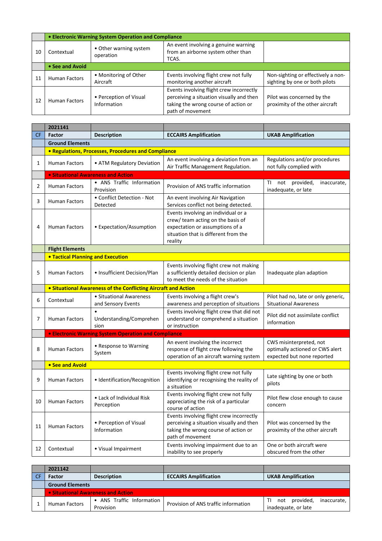|    | • Electronic Warning System Operation and Compliance |                                       |                                                                                                                                                  |                                                                      |
|----|------------------------------------------------------|---------------------------------------|--------------------------------------------------------------------------------------------------------------------------------------------------|----------------------------------------------------------------------|
| 10 | Contextual                                           | • Other warning system<br>operation   | An event involving a genuine warning<br>from an airborne system other than<br>TCAS.                                                              |                                                                      |
|    | • See and Avoid                                      |                                       |                                                                                                                                                  |                                                                      |
| 11 | <b>Human Factors</b>                                 | • Monitoring of Other<br>Aircraft     | Events involving flight crew not fully<br>monitoring another aircraft                                                                            | Non-sighting or effectively a non-<br>sighting by one or both pilots |
| 12 | <b>Human Factors</b>                                 | • Perception of Visual<br>Information | Events involving flight crew incorrectly<br>perceiving a situation visually and then<br>taking the wrong course of action or<br>path of movement | Pilot was concerned by the<br>proximity of the other aircraft        |

|           | 2021141                                  |                                                                |                                                                                                                                                                |                                                                                          |
|-----------|------------------------------------------|----------------------------------------------------------------|----------------------------------------------------------------------------------------------------------------------------------------------------------------|------------------------------------------------------------------------------------------|
| <b>CF</b> | <b>Factor</b>                            | <b>Description</b>                                             | <b>ECCAIRS Amplification</b>                                                                                                                                   | <b>UKAB Amplification</b>                                                                |
|           | <b>Ground Elements</b>                   |                                                                |                                                                                                                                                                |                                                                                          |
|           |                                          | • Regulations, Processes, Procedures and Compliance            |                                                                                                                                                                |                                                                                          |
| 1         | <b>Human Factors</b>                     | • ATM Regulatory Deviation                                     | An event involving a deviation from an<br>Air Traffic Management Regulation.                                                                                   | Regulations and/or procedures<br>not fully complied with                                 |
|           | • Situational Awareness and Action       |                                                                |                                                                                                                                                                |                                                                                          |
| 2         | <b>Human Factors</b>                     | • ANS Traffic Information<br>Provision                         | Provision of ANS traffic information                                                                                                                           | TI not provided,<br>inaccurate,<br>inadequate, or late                                   |
| 3         | <b>Human Factors</b>                     | • Conflict Detection - Not<br>Detected                         | An event involving Air Navigation<br>Services conflict not being detected.                                                                                     |                                                                                          |
| 4         | <b>Human Factors</b>                     | • Expectation/Assumption                                       | Events involving an individual or a<br>crew/ team acting on the basis of<br>expectation or assumptions of a<br>situation that is different from the<br>reality |                                                                                          |
|           | <b>Flight Elements</b>                   |                                                                |                                                                                                                                                                |                                                                                          |
|           | <b>.</b> Tactical Planning and Execution |                                                                |                                                                                                                                                                |                                                                                          |
| 5         | <b>Human Factors</b>                     | • Insufficient Decision/Plan                                   | Events involving flight crew not making<br>a sufficiently detailed decision or plan<br>to meet the needs of the situation                                      | Inadequate plan adaption                                                                 |
|           |                                          | • Situational Awareness of the Conflicting Aircraft and Action |                                                                                                                                                                |                                                                                          |
| 6         | Contextual                               | · Situational Awareness<br>and Sensory Events                  | Events involving a flight crew's<br>awareness and perception of situations                                                                                     | Pilot had no, late or only generic,<br><b>Situational Awareness</b>                      |
| 7         | <b>Human Factors</b>                     | $\bullet$<br>Understanding/Comprehen<br>sion                   | Events involving flight crew that did not<br>understand or comprehend a situation<br>or instruction                                                            | Pilot did not assimilate conflict<br>information                                         |
|           |                                          | <b>• Electronic Warning System Operation and Compliance</b>    |                                                                                                                                                                |                                                                                          |
| 8         | <b>Human Factors</b>                     | • Response to Warning<br>System                                | An event involving the incorrect<br>response of flight crew following the<br>operation of an aircraft warning system                                           | CWS misinterpreted, not<br>optimally actioned or CWS alert<br>expected but none reported |
|           | • See and Avoid                          |                                                                |                                                                                                                                                                |                                                                                          |
| 9         | Human Factors                            | • Identification/Recognition                                   | Events involving flight crew not fully<br>identifying or recognising the reality of<br>a situation                                                             | Late sighting by one or both<br>pilots                                                   |
| 10        | <b>Human Factors</b>                     | • Lack of Individual Risk<br>Perception                        | Events involving flight crew not fully<br>appreciating the risk of a particular<br>course of action                                                            | Pilot flew close enough to cause<br>concern                                              |
| 11        | Human Factors                            | • Perception of Visual<br>Information                          | Events involving flight crew incorrectly<br>perceiving a situation visually and then<br>taking the wrong course of action or<br>path of movement               | Pilot was concerned by the<br>proximity of the other aircraft                            |
| 12        | Contextual                               | • Visual Impairment                                            | Events involving impairment due to an<br>inability to see properly                                                                                             | One or both aircraft were<br>obscured from the other                                     |

|  | 2021142                            |                           |                                      |                              |  |
|--|------------------------------------|---------------------------|--------------------------------------|------------------------------|--|
|  | <b>Factor</b>                      | <b>Description</b>        | <b>ECCAIRS Amplification</b>         | <b>UKAB Amplification</b>    |  |
|  | <b>Ground Elements</b>             |                           |                                      |                              |  |
|  | • Situational Awareness and Action |                           |                                      |                              |  |
|  | <b>Human Factors</b>               | • ANS Traffic Information | Provision of ANS traffic information | not provided,<br>inaccurate, |  |
|  |                                    | Provision                 |                                      | inadequate, or late          |  |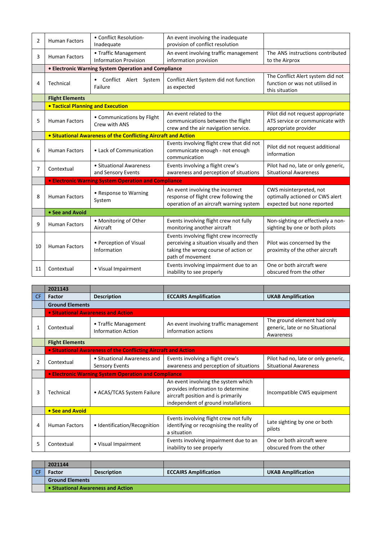| 2  | <b>Human Factors</b>                     | • Conflict Resolution-<br>Inadequate                           | An event involving the inadequate<br>provision of conflict resolution                                                                            |                                                                                              |
|----|------------------------------------------|----------------------------------------------------------------|--------------------------------------------------------------------------------------------------------------------------------------------------|----------------------------------------------------------------------------------------------|
| 3  | <b>Human Factors</b>                     | • Traffic Management<br><b>Information Provision</b>           | An event involving traffic management<br>information provision                                                                                   | The ANS instructions contributed<br>to the Airprox                                           |
|    |                                          | • Electronic Warning System Operation and Compliance           |                                                                                                                                                  |                                                                                              |
| 4  | Technical                                | Conflict Alert System<br>$\bullet$<br>Failure                  | Conflict Alert System did not function<br>as expected                                                                                            | The Conflict Alert system did not<br>function or was not utilised in<br>this situation       |
|    | <b>Flight Elements</b>                   |                                                                |                                                                                                                                                  |                                                                                              |
|    | <b>. Tactical Planning and Execution</b> |                                                                |                                                                                                                                                  |                                                                                              |
| 5  | <b>Human Factors</b>                     | • Communications by Flight<br>Crew with ANS                    | An event related to the<br>communications between the flight<br>crew and the air navigation service.                                             | Pilot did not request appropriate<br>ATS service or communicate with<br>appropriate provider |
|    |                                          | • Situational Awareness of the Conflicting Aircraft and Action |                                                                                                                                                  |                                                                                              |
| 6  | <b>Human Factors</b>                     | • Lack of Communication                                        | Events involving flight crew that did not<br>communicate enough - not enough<br>communication                                                    | Pilot did not request additional<br>information                                              |
| 7  | Contextual                               | • Situational Awareness<br>and Sensory Events                  | Events involving a flight crew's<br>awareness and perception of situations                                                                       | Pilot had no, late or only generic,<br><b>Situational Awareness</b>                          |
|    |                                          | <b>• Electronic Warning System Operation and Compliance</b>    |                                                                                                                                                  |                                                                                              |
| 8  | <b>Human Factors</b>                     | • Response to Warning<br>System                                | An event involving the incorrect<br>response of flight crew following the<br>operation of an aircraft warning system                             | CWS misinterpreted, not<br>optimally actioned or CWS alert<br>expected but none reported     |
|    | • See and Avoid                          |                                                                |                                                                                                                                                  |                                                                                              |
| 9  | <b>Human Factors</b>                     | • Monitoring of Other<br>Aircraft                              | Events involving flight crew not fully<br>monitoring another aircraft                                                                            | Non-sighting or effectively a non-<br>sighting by one or both pilots                         |
| 10 | <b>Human Factors</b>                     | • Perception of Visual<br>Information                          | Events involving flight crew incorrectly<br>perceiving a situation visually and then<br>taking the wrong course of action or<br>path of movement | Pilot was concerned by the<br>proximity of the other aircraft                                |
| 11 | Contextual                               | • Visual Impairment                                            | Events involving impairment due to an<br>inability to see properly                                                                               | One or both aircraft were<br>obscured from the other                                         |

|     | 2021143                |                                                                |                                                                                                                                                       |                                                                             |
|-----|------------------------|----------------------------------------------------------------|-------------------------------------------------------------------------------------------------------------------------------------------------------|-----------------------------------------------------------------------------|
| CF. | Factor                 | <b>Description</b>                                             | <b>ECCAIRS Amplification</b>                                                                                                                          | <b>UKAB Amplification</b>                                                   |
|     | <b>Ground Elements</b> |                                                                |                                                                                                                                                       |                                                                             |
|     |                        | <b>• Situational Awareness and Action</b>                      |                                                                                                                                                       |                                                                             |
|     | Contextual             | • Traffic Management<br><b>Information Action</b>              | An event involving traffic management<br>information actions                                                                                          | The ground element had only<br>generic, late or no Situational<br>Awareness |
|     | <b>Flight Elements</b> |                                                                |                                                                                                                                                       |                                                                             |
|     |                        | • Situational Awareness of the Conflicting Aircraft and Action |                                                                                                                                                       |                                                                             |
| 2   | Contextual             | • Situational Awareness and<br><b>Sensory Events</b>           | Events involving a flight crew's<br>awareness and perception of situations                                                                            | Pilot had no, late or only generic,<br><b>Situational Awareness</b>         |
|     |                        | • Electronic Warning System Operation and Compliance           |                                                                                                                                                       |                                                                             |
| 3   | Technical              | • ACAS/TCAS System Failure                                     | An event involving the system which<br>provides information to determine<br>aircraft position and is primarily<br>independent of ground installations | Incompatible CWS equipment                                                  |
|     | • See and Avoid        |                                                                |                                                                                                                                                       |                                                                             |
| 4   | <b>Human Factors</b>   | • Identification/Recognition                                   | Events involving flight crew not fully<br>identifying or recognising the reality of<br>a situation                                                    | Late sighting by one or both<br>pilots                                      |
| 5   | Contextual             | • Visual Impairment                                            | Events involving impairment due to an<br>inability to see properly                                                                                    | One or both aircraft were<br>obscured from the other                        |

| 2021144                              |                    |                              |                           |  |
|--------------------------------------|--------------------|------------------------------|---------------------------|--|
| Factor                               | <b>Description</b> | <b>ECCAIRS Amplification</b> | <b>UKAB Amplification</b> |  |
| <b>Ground Elements</b>               |                    |                              |                           |  |
| ∣ ● Situational Awareness and Action |                    |                              |                           |  |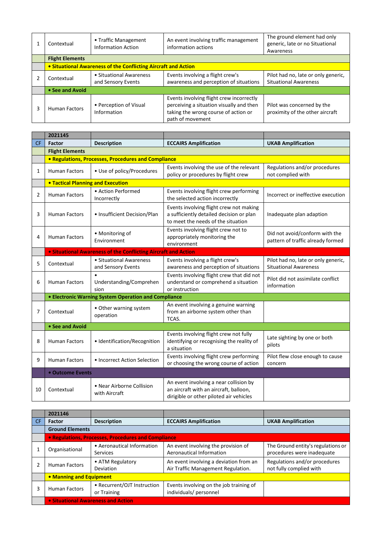| Contextual                                                     | • Traffic Management<br><b>Information Action</b> | An event involving traffic management<br>information actions                                                                                     | The ground element had only<br>generic, late or no Situational<br>Awareness |
|----------------------------------------------------------------|---------------------------------------------------|--------------------------------------------------------------------------------------------------------------------------------------------------|-----------------------------------------------------------------------------|
| <b>Flight Elements</b>                                         |                                                   |                                                                                                                                                  |                                                                             |
| • Situational Awareness of the Conflicting Aircraft and Action |                                                   |                                                                                                                                                  |                                                                             |
| Contextual                                                     | • Situational Awareness<br>and Sensory Events     | Events involving a flight crew's<br>awareness and perception of situations                                                                       | Pilot had no, late or only generic,<br><b>Situational Awareness</b>         |
| • See and Avoid                                                |                                                   |                                                                                                                                                  |                                                                             |
| <b>Human Factors</b>                                           | • Perception of Visual<br>Information             | Events involving flight crew incorrectly<br>perceiving a situation visually and then<br>taking the wrong course of action or<br>path of movement | Pilot was concerned by the<br>proximity of the other aircraft               |

|           | 2021145                                  |                                                                       |                                                                                                                             |                                                                     |
|-----------|------------------------------------------|-----------------------------------------------------------------------|-----------------------------------------------------------------------------------------------------------------------------|---------------------------------------------------------------------|
| <b>CF</b> | <b>Factor</b>                            | <b>Description</b>                                                    | <b>ECCAIRS Amplification</b>                                                                                                | <b>UKAB Amplification</b>                                           |
|           | <b>Flight Elements</b>                   |                                                                       |                                                                                                                             |                                                                     |
|           |                                          | • Regulations, Processes, Procedures and Compliance                   |                                                                                                                             |                                                                     |
| 1         | <b>Human Factors</b>                     | • Use of policy/Procedures                                            | Events involving the use of the relevant<br>policy or procedures by flight crew                                             | Regulations and/or procedures<br>not complied with                  |
|           | <b>. Tactical Planning and Execution</b> |                                                                       |                                                                                                                             |                                                                     |
| 2         | <b>Human Factors</b>                     | • Action Performed<br>Incorrectly                                     | Events involving flight crew performing<br>the selected action incorrectly                                                  | Incorrect or ineffective execution                                  |
| 3         | <b>Human Factors</b>                     | • Insufficient Decision/Plan                                          | Events involving flight crew not making<br>a sufficiently detailed decision or plan<br>to meet the needs of the situation   | Inadequate plan adaption                                            |
| 4         | <b>Human Factors</b>                     | • Monitoring of<br>Environment                                        | Events involving flight crew not to<br>appropriately monitoring the<br>environment                                          | Did not avoid/conform with the<br>pattern of traffic already formed |
|           |                                          | <b>• Situational Awareness of the Conflicting Aircraft and Action</b> |                                                                                                                             |                                                                     |
| 5         | Contextual                               | • Situational Awareness<br>and Sensory Events                         | Events involving a flight crew's<br>awareness and perception of situations                                                  | Pilot had no, late or only generic,<br><b>Situational Awareness</b> |
| 6         | <b>Human Factors</b>                     | Understanding/Comprehen<br>sion                                       | Events involving flight crew that did not<br>understand or comprehend a situation<br>or instruction                         | Pilot did not assimilate conflict<br>information                    |
|           |                                          | • Electronic Warning System Operation and Compliance                  |                                                                                                                             |                                                                     |
| 7         | Contextual                               | • Other warning system<br>operation                                   | An event involving a genuine warning<br>from an airborne system other than<br>TCAS.                                         |                                                                     |
|           | • See and Avoid                          |                                                                       |                                                                                                                             |                                                                     |
| 8         | <b>Human Factors</b>                     | · Identification/Recognition                                          | Events involving flight crew not fully<br>identifying or recognising the reality of<br>a situation                          | Late sighting by one or both<br>pilots                              |
| 9         | <b>Human Factors</b>                     | • Incorrect Action Selection                                          | Events involving flight crew performing<br>or choosing the wrong course of action                                           | Pilot flew close enough to cause<br>concern                         |
|           | • Outcome Events                         |                                                                       |                                                                                                                             |                                                                     |
| 10        | Contextual                               | • Near Airborne Collision<br>with Aircraft                            | An event involving a near collision by<br>an aircraft with an aircraft, balloon,<br>dirigible or other piloted air vehicles |                                                                     |

|           | 2021146                            |                                                     |                                                                              |                                                                  |  |
|-----------|------------------------------------|-----------------------------------------------------|------------------------------------------------------------------------------|------------------------------------------------------------------|--|
| <b>CF</b> | Factor                             | <b>Description</b>                                  | <b>ECCAIRS Amplification</b>                                                 | <b>UKAB Amplification</b>                                        |  |
|           | <b>Ground Elements</b>             |                                                     |                                                                              |                                                                  |  |
|           |                                    | • Regulations, Processes, Procedures and Compliance |                                                                              |                                                                  |  |
|           | Organisational                     | • Aeronautical Information<br><b>Services</b>       | An event involving the provision of<br>Aeronautical Information              | The Ground entity's regulations or<br>procedures were inadequate |  |
|           | <b>Human Factors</b>               | • ATM Regulatory<br>Deviation                       | An event involving a deviation from an<br>Air Traffic Management Regulation. | Regulations and/or procedures<br>not fully complied with         |  |
|           | • Manning and Equipment            |                                                     |                                                                              |                                                                  |  |
| 3         | <b>Human Factors</b>               | • Recurrent/OJT Instruction<br>or Training          | Events involving on the job training of<br>individuals/ personnel            |                                                                  |  |
|           | • Situational Awareness and Action |                                                     |                                                                              |                                                                  |  |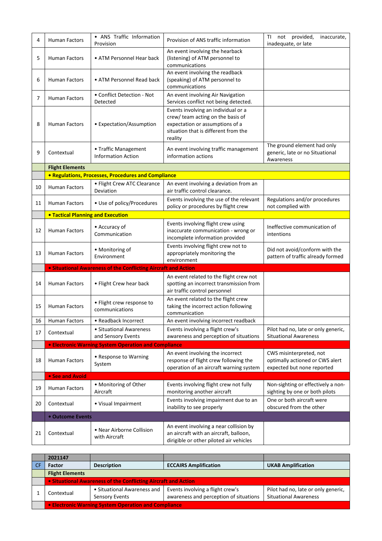| 4  | <b>Human Factors</b>                     | • ANS Traffic Information<br>Provision                         | Provision of ANS traffic information                                                                                                                           | TI<br>not provided,<br>inaccurate,<br>inadequate, or late                                |
|----|------------------------------------------|----------------------------------------------------------------|----------------------------------------------------------------------------------------------------------------------------------------------------------------|------------------------------------------------------------------------------------------|
| 5  | <b>Human Factors</b>                     | • ATM Personnel Hear back                                      | An event involving the hearback<br>(listening) of ATM personnel to<br>communications                                                                           |                                                                                          |
| 6  | <b>Human Factors</b>                     | • ATM Personnel Read back                                      | An event involving the readback<br>(speaking) of ATM personnel to<br>communications                                                                            |                                                                                          |
| 7  | <b>Human Factors</b>                     | • Conflict Detection - Not<br>Detected                         | An event involving Air Navigation<br>Services conflict not being detected.                                                                                     |                                                                                          |
| 8  | <b>Human Factors</b>                     | • Expectation/Assumption                                       | Events involving an individual or a<br>crew/ team acting on the basis of<br>expectation or assumptions of a<br>situation that is different from the<br>reality |                                                                                          |
| 9  | Contextual                               | • Traffic Management<br><b>Information Action</b>              | An event involving traffic management<br>information actions                                                                                                   | The ground element had only<br>generic, late or no Situational<br>Awareness              |
|    | <b>Flight Elements</b>                   |                                                                |                                                                                                                                                                |                                                                                          |
|    |                                          | • Regulations, Processes, Procedures and Compliance            |                                                                                                                                                                |                                                                                          |
| 10 | Human Factors                            | • Flight Crew ATC Clearance<br>Deviation                       | An event involving a deviation from an<br>air traffic control clearance.                                                                                       |                                                                                          |
| 11 | Human Factors                            | • Use of policy/Procedures                                     | Events involving the use of the relevant<br>policy or procedures by flight crew                                                                                | Regulations and/or procedures<br>not complied with                                       |
|    | <b>. Tactical Planning and Execution</b> |                                                                |                                                                                                                                                                |                                                                                          |
| 12 | <b>Human Factors</b>                     | • Accuracy of<br>Communication                                 | Events involving flight crew using<br>inaccurate communication - wrong or<br>incomplete information provided                                                   | Ineffective communication of<br>intentions                                               |
| 13 | <b>Human Factors</b>                     | • Monitoring of<br>Environment                                 | Events involving flight crew not to<br>appropriately monitoring the<br>environment                                                                             | Did not avoid/conform with the<br>pattern of traffic already formed                      |
|    |                                          | . Situational Awareness of the Conflicting Aircraft and Action |                                                                                                                                                                |                                                                                          |
| 14 | <b>Human Factors</b>                     | • Flight Crew hear back                                        | An event related to the flight crew not<br>spotting an incorrect transmission from<br>air traffic control personnel                                            |                                                                                          |
| 15 | <b>Human Factors</b>                     | · Flight crew response to<br>communications                    | An event related to the flight crew<br>taking the incorrect action following<br>communication                                                                  |                                                                                          |
| 16 | Human Factors                            | • Readback Incorrect                                           | An event involving incorrect readback                                                                                                                          |                                                                                          |
| 17 | Contextual                               | • Situational Awareness<br>and Sensory Events                  | Events involving a flight crew's<br>awareness and perception of situations                                                                                     | Pilot had no, late or only generic,<br><b>Situational Awareness</b>                      |
|    |                                          | <b>• Electronic Warning System Operation and Compliance</b>    |                                                                                                                                                                |                                                                                          |
| 18 | Human Factors                            | • Response to Warning<br>System                                | An event involving the incorrect<br>response of flight crew following the<br>operation of an aircraft warning system                                           | CWS misinterpreted, not<br>optimally actioned or CWS alert<br>expected but none reported |
|    | • See and Avoid                          |                                                                |                                                                                                                                                                |                                                                                          |
| 19 | <b>Human Factors</b>                     | • Monitoring of Other<br>Aircraft                              | Events involving flight crew not fully<br>monitoring another aircraft                                                                                          | Non-sighting or effectively a non-<br>sighting by one or both pilots                     |
| 20 | Contextual                               | · Visual Impairment                                            | Events involving impairment due to an<br>inability to see properly                                                                                             | One or both aircraft were<br>obscured from the other                                     |
|    | • Outcome Events                         |                                                                |                                                                                                                                                                |                                                                                          |
| 21 | Contextual                               | • Near Airborne Collision<br>with Aircraft                     | An event involving a near collision by<br>an aircraft with an aircraft, balloon,<br>dirigible or other piloted air vehicles                                    |                                                                                          |

|      | 2021147                                                        |                                                      |                                                                            |                                                                     |  |
|------|----------------------------------------------------------------|------------------------------------------------------|----------------------------------------------------------------------------|---------------------------------------------------------------------|--|
| l CF | <b>Factor</b>                                                  | <b>Description</b>                                   | <b>ECCAIRS Amplification</b>                                               | <b>UKAB Amplification</b>                                           |  |
|      | <b>Flight Elements</b>                                         |                                                      |                                                                            |                                                                     |  |
|      | • Situational Awareness of the Conflicting Aircraft and Action |                                                      |                                                                            |                                                                     |  |
|      | Contextual                                                     | • Situational Awareness and<br><b>Sensory Events</b> | Events involving a flight crew's<br>awareness and perception of situations | Pilot had no, late or only generic,<br><b>Situational Awareness</b> |  |
|      | • Electronic Warning System Operation and Compliance           |                                                      |                                                                            |                                                                     |  |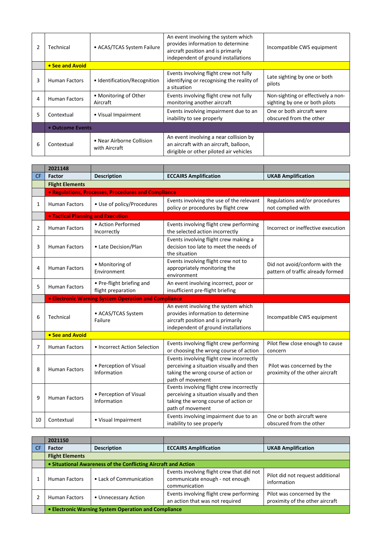|   | Technical            | • ACAS/TCAS System Failure                 | An event involving the system which<br>provides information to determine<br>aircraft position and is primarily<br>independent of ground installations | Incompatible CWS equipment                                           |
|---|----------------------|--------------------------------------------|-------------------------------------------------------------------------------------------------------------------------------------------------------|----------------------------------------------------------------------|
|   | • See and Avoid      |                                            |                                                                                                                                                       |                                                                      |
| 3 | Human Factors        | • Identification/Recognition               | Events involving flight crew not fully<br>identifying or recognising the reality of<br>a situation                                                    | Late sighting by one or both<br>pilots                               |
| 4 | <b>Human Factors</b> | • Monitoring of Other<br>Aircraft          | Events involving flight crew not fully<br>monitoring another aircraft                                                                                 | Non-sighting or effectively a non-<br>sighting by one or both pilots |
| 5 | Contextual           | • Visual Impairment                        | Events involving impairment due to an<br>inability to see properly                                                                                    | One or both aircraft were<br>obscured from the other                 |
|   | • Outcome Events     |                                            |                                                                                                                                                       |                                                                      |
| 6 | Contextual           | • Near Airborne Collision<br>with Aircraft | An event involving a near collision by<br>an aircraft with an aircraft, balloon,<br>dirigible or other piloted air vehicles                           |                                                                      |

|           | 2021148                                  |                                                             |                                                                                                                                                       |                                                                     |
|-----------|------------------------------------------|-------------------------------------------------------------|-------------------------------------------------------------------------------------------------------------------------------------------------------|---------------------------------------------------------------------|
| <b>CF</b> | Factor                                   | <b>Description</b>                                          | <b>ECCAIRS Amplification</b>                                                                                                                          | <b>UKAB Amplification</b>                                           |
|           | <b>Flight Elements</b>                   |                                                             |                                                                                                                                                       |                                                                     |
|           |                                          | <b>• Regulations, Processes, Procedures and Compliance</b>  |                                                                                                                                                       |                                                                     |
| 1         | <b>Human Factors</b>                     | • Use of policy/Procedures                                  | Events involving the use of the relevant<br>policy or procedures by flight crew                                                                       | Regulations and/or procedures<br>not complied with                  |
|           | <b>• Tactical Planning and Execution</b> |                                                             |                                                                                                                                                       |                                                                     |
| 2         | <b>Human Factors</b>                     | • Action Performed<br>Incorrectly                           | Events involving flight crew performing<br>the selected action incorrectly                                                                            | Incorrect or ineffective execution                                  |
| 3         | <b>Human Factors</b>                     | • Late Decision/Plan                                        | Events involving flight crew making a<br>decision too late to meet the needs of<br>the situation                                                      |                                                                     |
| 4         | <b>Human Factors</b>                     | • Monitoring of<br>Environment                              | Events involving flight crew not to<br>appropriately monitoring the<br>environment                                                                    | Did not avoid/conform with the<br>pattern of traffic already formed |
| 5         | <b>Human Factors</b>                     | • Pre-flight briefing and<br>flight preparation             | An event involving incorrect, poor or<br>insufficient pre-flight briefing                                                                             |                                                                     |
|           |                                          |                                                             |                                                                                                                                                       |                                                                     |
|           |                                          | <b>• Electronic Warning System Operation and Compliance</b> |                                                                                                                                                       |                                                                     |
| 6         | Technical                                | • ACAS/TCAS System<br>Failure                               | An event involving the system which<br>provides information to determine<br>aircraft position and is primarily<br>independent of ground installations | Incompatible CWS equipment                                          |
|           | • See and Avoid                          |                                                             |                                                                                                                                                       |                                                                     |
| 7         | <b>Human Factors</b>                     | • Incorrect Action Selection                                | Events involving flight crew performing<br>or choosing the wrong course of action                                                                     | Pilot flew close enough to cause<br>concern                         |
| 8         | <b>Human Factors</b>                     | • Perception of Visual<br>Information                       | Events involving flight crew incorrectly<br>perceiving a situation visually and then<br>taking the wrong course of action or<br>path of movement      | Pilot was concerned by the<br>proximity of the other aircraft       |
| 9         | <b>Human Factors</b>                     | • Perception of Visual<br>Information                       | Events involving flight crew incorrectly<br>perceiving a situation visually and then<br>taking the wrong course of action or<br>path of movement      |                                                                     |

|           | 2021150                                              |                                                                |                                                                                               |                                                               |  |
|-----------|------------------------------------------------------|----------------------------------------------------------------|-----------------------------------------------------------------------------------------------|---------------------------------------------------------------|--|
| <b>CF</b> | <b>Factor</b>                                        | <b>Description</b>                                             | <b>ECCAIRS Amplification</b>                                                                  | <b>UKAB Amplification</b>                                     |  |
|           | <b>Flight Elements</b>                               |                                                                |                                                                                               |                                                               |  |
|           |                                                      | • Situational Awareness of the Conflicting Aircraft and Action |                                                                                               |                                                               |  |
|           | <b>Human Factors</b>                                 | • Lack of Communication                                        | Events involving flight crew that did not<br>communicate enough - not enough<br>communication | Pilot did not request additional<br>information               |  |
|           | <b>Human Factors</b>                                 | • Unnecessary Action                                           | Events involving flight crew performing<br>an action that was not required                    | Pilot was concerned by the<br>proximity of the other aircraft |  |
|           | • Electronic Warning System Operation and Compliance |                                                                |                                                                                               |                                                               |  |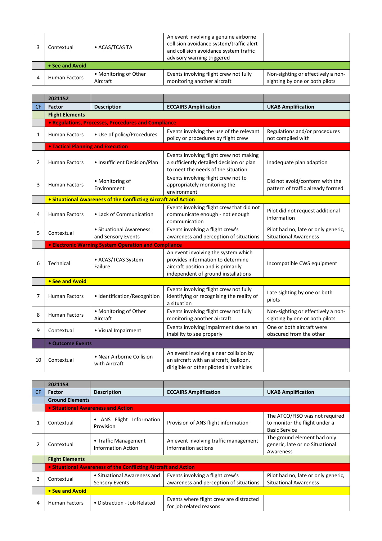| Contextual           | • ACAS/TCAS TA                    | An event involving a genuine airborne<br>collision avoidance system/traffic alert<br>and collision avoidance system traffic<br>advisory warning triggered |                                                                      |
|----------------------|-----------------------------------|-----------------------------------------------------------------------------------------------------------------------------------------------------------|----------------------------------------------------------------------|
| • See and Avoid      |                                   |                                                                                                                                                           |                                                                      |
| <b>Human Factors</b> | • Monitoring of Other<br>Aircraft | Events involving flight crew not fully<br>monitoring another aircraft                                                                                     | Non-sighting or effectively a non-<br>sighting by one or both pilots |

|           | 2021152                                  |                                                                |                                                                                                                                                       |                                                                      |
|-----------|------------------------------------------|----------------------------------------------------------------|-------------------------------------------------------------------------------------------------------------------------------------------------------|----------------------------------------------------------------------|
| <b>CF</b> | <b>Factor</b>                            | <b>Description</b>                                             | <b>ECCAIRS Amplification</b>                                                                                                                          | <b>UKAB Amplification</b>                                            |
|           | <b>Flight Elements</b>                   |                                                                |                                                                                                                                                       |                                                                      |
|           |                                          | • Regulations, Processes, Procedures and Compliance            |                                                                                                                                                       |                                                                      |
| 1         | <b>Human Factors</b>                     | • Use of policy/Procedures                                     | Events involving the use of the relevant<br>policy or procedures by flight crew                                                                       | Regulations and/or procedures<br>not complied with                   |
|           | <b>. Tactical Planning and Execution</b> |                                                                |                                                                                                                                                       |                                                                      |
| 2         | <b>Human Factors</b>                     | • Insufficient Decision/Plan                                   | Events involving flight crew not making<br>a sufficiently detailed decision or plan<br>to meet the needs of the situation                             | Inadequate plan adaption                                             |
| 3         | <b>Human Factors</b>                     | • Monitoring of<br>Environment                                 | Events involving flight crew not to<br>appropriately monitoring the<br>environment                                                                    | Did not avoid/conform with the<br>pattern of traffic already formed  |
|           |                                          | • Situational Awareness of the Conflicting Aircraft and Action |                                                                                                                                                       |                                                                      |
| 4         | <b>Human Factors</b>                     | • Lack of Communication                                        | Events involving flight crew that did not<br>communicate enough - not enough<br>communication                                                         | Pilot did not request additional<br>information                      |
| 5         | Contextual                               | • Situational Awareness<br>and Sensory Events                  | Events involving a flight crew's<br>awareness and perception of situations                                                                            | Pilot had no, late or only generic,<br><b>Situational Awareness</b>  |
|           |                                          | <b>• Electronic Warning System Operation and Compliance</b>    |                                                                                                                                                       |                                                                      |
| 6         | Technical                                | • ACAS/TCAS System<br>Failure                                  | An event involving the system which<br>provides information to determine<br>aircraft position and is primarily<br>independent of ground installations | Incompatible CWS equipment                                           |
|           | • See and Avoid                          |                                                                |                                                                                                                                                       |                                                                      |
| 7         | <b>Human Factors</b>                     | · Identification/Recognition                                   | Events involving flight crew not fully<br>identifying or recognising the reality of<br>a situation                                                    | Late sighting by one or both<br>pilots                               |
| 8         | <b>Human Factors</b>                     | • Monitoring of Other<br>Aircraft                              | Events involving flight crew not fully<br>monitoring another aircraft                                                                                 | Non-sighting or effectively a non-<br>sighting by one or both pilots |
| 9         | Contextual                               | • Visual Impairment                                            | Events involving impairment due to an<br>inability to see properly                                                                                    | One or both aircraft were<br>obscured from the other                 |
|           | • Outcome Events                         |                                                                |                                                                                                                                                       |                                                                      |
| 10        | Contextual                               | • Near Airborne Collision<br>with Aircraft                     | An event involving a near collision by<br>an aircraft with an aircraft, balloon,<br>dirigible or other piloted air vehicles                           |                                                                      |

|    | 2021153                |                                                                |                                                                            |                                                                                         |
|----|------------------------|----------------------------------------------------------------|----------------------------------------------------------------------------|-----------------------------------------------------------------------------------------|
| CF | <b>Factor</b>          | <b>Description</b>                                             | <b>ECCAIRS Amplification</b>                                               | <b>UKAB Amplification</b>                                                               |
|    | <b>Ground Elements</b> |                                                                |                                                                            |                                                                                         |
|    |                        | • Situational Awareness and Action                             |                                                                            |                                                                                         |
|    | Contextual             | ANS Flight Information<br>Provision                            | Provision of ANS flight information                                        | The ATCO/FISO was not required<br>to monitor the flight under a<br><b>Basic Service</b> |
|    | Contextual             | • Traffic Management<br><b>Information Action</b>              | An event involving traffic management<br>information actions               | The ground element had only<br>generic, late or no Situational<br>Awareness             |
|    | <b>Flight Elements</b> |                                                                |                                                                            |                                                                                         |
|    |                        | • Situational Awareness of the Conflicting Aircraft and Action |                                                                            |                                                                                         |
| 3  | Contextual             | • Situational Awareness and<br>Sensory Events                  | Events involving a flight crew's<br>awareness and perception of situations | Pilot had no, late or only generic,<br><b>Situational Awareness</b>                     |
|    | • See and Avoid        |                                                                |                                                                            |                                                                                         |
| 4  | Human Factors          | • Distraction - Job Related                                    | Events where flight crew are distracted<br>for job related reasons         |                                                                                         |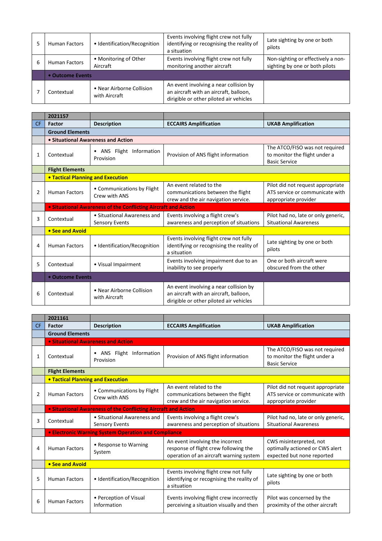|   | <b>Human Factors</b> | • Identification/Recognition               | Events involving flight crew not fully<br>identifying or recognising the reality of<br>a situation                          | Late sighting by one or both<br>pilots                               |
|---|----------------------|--------------------------------------------|-----------------------------------------------------------------------------------------------------------------------------|----------------------------------------------------------------------|
| 6 | <b>Human Factors</b> | • Monitoring of Other<br>Aircraft          | Events involving flight crew not fully<br>monitoring another aircraft                                                       | Non-sighting or effectively a non-<br>sighting by one or both pilots |
|   | • Outcome Events     |                                            |                                                                                                                             |                                                                      |
|   | Contextual           | • Near Airborne Collision<br>with Aircraft | An event involving a near collision by<br>an aircraft with an aircraft, balloon,<br>dirigible or other piloted air vehicles |                                                                      |

|                | 2021157                                  |                                                                |                                                                                                                             |                                                                                              |
|----------------|------------------------------------------|----------------------------------------------------------------|-----------------------------------------------------------------------------------------------------------------------------|----------------------------------------------------------------------------------------------|
| <b>CF</b>      | Factor                                   | <b>Description</b>                                             | <b>ECCAIRS Amplification</b>                                                                                                | <b>UKAB Amplification</b>                                                                    |
|                | <b>Ground Elements</b>                   |                                                                |                                                                                                                             |                                                                                              |
|                |                                          | • Situational Awareness and Action                             |                                                                                                                             |                                                                                              |
| 1              | Contextual                               | • ANS Flight Information<br>Provision                          | Provision of ANS flight information                                                                                         | The ATCO/FISO was not required<br>to monitor the flight under a<br><b>Basic Service</b>      |
|                | <b>Flight Elements</b>                   |                                                                |                                                                                                                             |                                                                                              |
|                | <b>• Tactical Planning and Execution</b> |                                                                |                                                                                                                             |                                                                                              |
| $\overline{2}$ | <b>Human Factors</b>                     | • Communications by Flight<br>Crew with ANS                    | An event related to the<br>communications between the flight<br>crew and the air navigation service.                        | Pilot did not request appropriate<br>ATS service or communicate with<br>appropriate provider |
|                |                                          | • Situational Awareness of the Conflicting Aircraft and Action |                                                                                                                             |                                                                                              |
| 3              | Contextual                               | • Situational Awareness and<br><b>Sensory Events</b>           | Events involving a flight crew's<br>awareness and perception of situations                                                  | Pilot had no, late or only generic,<br><b>Situational Awareness</b>                          |
|                | • See and Avoid                          |                                                                |                                                                                                                             |                                                                                              |
| 4              | <b>Human Factors</b>                     | • Identification/Recognition                                   | Events involving flight crew not fully<br>identifying or recognising the reality of<br>a situation                          | Late sighting by one or both<br>pilots                                                       |
| 5              | Contextual                               | • Visual Impairment                                            | Events involving impairment due to an<br>inability to see properly                                                          | One or both aircraft were<br>obscured from the other                                         |
|                | • Outcome Events                         |                                                                |                                                                                                                             |                                                                                              |
| 6              | Contextual                               | • Near Airborne Collision<br>with Aircraft                     | An event involving a near collision by<br>an aircraft with an aircraft, balloon,<br>dirigible or other piloted air vehicles |                                                                                              |

|                | 2021161                                  |                                                                |                                                                                                                      |                                                                                              |  |
|----------------|------------------------------------------|----------------------------------------------------------------|----------------------------------------------------------------------------------------------------------------------|----------------------------------------------------------------------------------------------|--|
| <b>CF</b>      | Factor                                   | <b>Description</b>                                             | <b>ECCAIRS Amplification</b>                                                                                         | <b>UKAB Amplification</b>                                                                    |  |
|                | <b>Ground Elements</b>                   |                                                                |                                                                                                                      |                                                                                              |  |
|                |                                          | • Situational Awareness and Action                             |                                                                                                                      |                                                                                              |  |
| 1              | Contextual                               | • ANS Flight Information<br>Provision                          | Provision of ANS flight information                                                                                  | The ATCO/FISO was not required<br>to monitor the flight under a<br><b>Basic Service</b>      |  |
|                | <b>Flight Elements</b>                   |                                                                |                                                                                                                      |                                                                                              |  |
|                | <b>. Tactical Planning and Execution</b> |                                                                |                                                                                                                      |                                                                                              |  |
| $\overline{2}$ | <b>Human Factors</b>                     | • Communications by Flight<br>Crew with ANS                    | An event related to the<br>communications between the flight<br>crew and the air navigation service.                 | Pilot did not request appropriate<br>ATS service or communicate with<br>appropriate provider |  |
|                |                                          | • Situational Awareness of the Conflicting Aircraft and Action |                                                                                                                      |                                                                                              |  |
| 3              | Contextual                               | • Situational Awareness and<br><b>Sensory Events</b>           | Events involving a flight crew's<br>awareness and perception of situations                                           | Pilot had no, late or only generic,<br><b>Situational Awareness</b>                          |  |
|                |                                          | <b>• Electronic Warning System Operation and Compliance</b>    |                                                                                                                      |                                                                                              |  |
| 4              | <b>Human Factors</b>                     | • Response to Warning<br>System                                | An event involving the incorrect<br>response of flight crew following the<br>operation of an aircraft warning system | CWS misinterpreted, not<br>optimally actioned or CWS alert<br>expected but none reported     |  |
|                | • See and Avoid                          |                                                                |                                                                                                                      |                                                                                              |  |
| 5              | <b>Human Factors</b>                     | • Identification/Recognition                                   | Events involving flight crew not fully<br>identifying or recognising the reality of<br>a situation                   | Late sighting by one or both<br>pilots                                                       |  |
| 6              | <b>Human Factors</b>                     | • Perception of Visual<br>Information                          | Events involving flight crew incorrectly<br>perceiving a situation visually and then                                 | Pilot was concerned by the<br>proximity of the other aircraft                                |  |